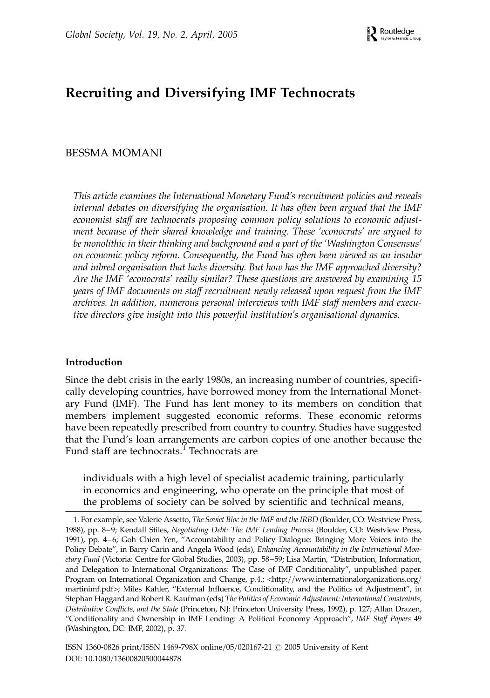# Recruiting and Diversifying IMF Technocrats

# BESSMA MOMANI

This article examines the International Monetary Fund's recruitment policies and reveals internal debates on diversifying the organisation. It has often been argued that the IMF economist staff are technocrats proposing common policy solutions to economic adjustment because of their shared knowledge and training. These 'econocrats' are argued to be monolithic in their thinking and background and a part of the 'Washington Consensus' on economic policy reform. Consequently, the Fund has often been viewed as an insular and inbred organisation that lacks diversity. But how has the IMF approached diversity? Are the IMF 'econocrats' really similar? These questions are answered by examining 15 years of IMF documents on staff recruitment newly released upon request from the IMF archives. In addition, numerous personal interviews with IMF staff members and executive directors give insight into this powerful institution's organisational dynamics.

### Introduction

Since the debt crisis in the early 1980s, an increasing number of countries, specifically developing countries, have borrowed money from the International Monetary Fund (IMF). The Fund has lent money to its members on condition that members implement suggested economic reforms. These economic reforms have been repeatedly prescribed from country to country. Studies have suggested that the Fund's loan arrangements are carbon copies of one another because the Fund staff are technocrats.<sup>1</sup> Technocrats are

individuals with a high level of specialist academic training, particularly in economics and engineering, who operate on the principle that most of the problems of society can be solved by scientific and technical means,

<sup>1.</sup> For example, see Valerie Assetto, The Soviet Bloc in the IMF and the IRBD (Boulder, CO: Westview Press, 1988), pp. 8–9; Kendall Stiles, Negotiating Debt: The IMF Lending Process (Boulder, CO: Westview Press, 1991), pp. 4–6; Goh Chien Yen, "Accountability and Policy Dialogue: Bringing More Voices into the Policy Debate", in Barry Carin and Angela Wood (eds), Enhancing Accountability in the International Monetary Fund (Victoria: Centre for Global Studies, 2003), pp. 58–59; Lisa Martin, "Distribution, Information, and Delegation to International Organizations: The Case of IMF Conditionality", unpublished paper. Program on International Organization and Change, p.4.; <http://www.internationalorganizations.org/ martinimf.pdf>; Miles Kahler, "External Influence, Conditionality, and the Politics of Adjustment", in Stephan Haggard and Robert R. Kaufman (eds) The Politics of Economic Adjustment: International Constraints, Distributive Conflicts, and the State (Princeton, NJ: Princeton University Press, 1992), p. 127; Allan Drazen, "Conditionality and Ownership in IMF Lending: A Political Economy Approach", IMF Staff Papers 49 (Washington, DC: IMF, 2002), p. 37.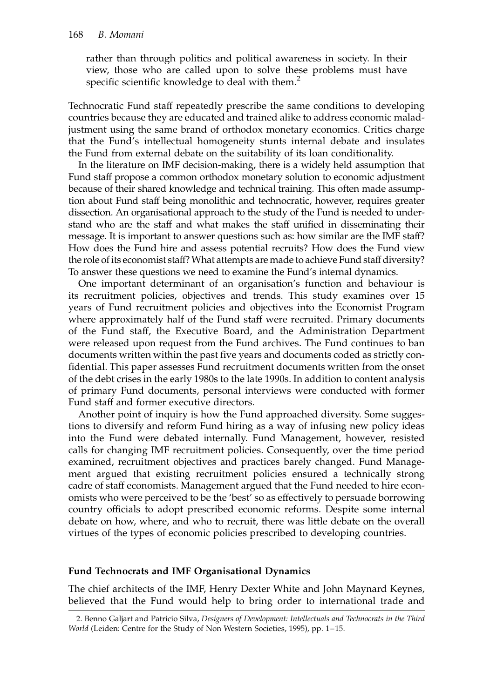rather than through politics and political awareness in society. In their view, those who are called upon to solve these problems must have specific scientific knowledge to deal with them. $<sup>2</sup>$ </sup>

Technocratic Fund staff repeatedly prescribe the same conditions to developing countries because they are educated and trained alike to address economic maladjustment using the same brand of orthodox monetary economics. Critics charge that the Fund's intellectual homogeneity stunts internal debate and insulates the Fund from external debate on the suitability of its loan conditionality.

In the literature on IMF decision-making, there is a widely held assumption that Fund staff propose a common orthodox monetary solution to economic adjustment because of their shared knowledge and technical training. This often made assumption about Fund staff being monolithic and technocratic, however, requires greater dissection. An organisational approach to the study of the Fund is needed to understand who are the staff and what makes the staff unified in disseminating their message. It is important to answer questions such as: how similar are the IMF staff? How does the Fund hire and assess potential recruits? How does the Fund view the role of its economist staff?What attempts are made to achieve Fund staff diversity? To answer these questions we need to examine the Fund's internal dynamics.

One important determinant of an organisation's function and behaviour is its recruitment policies, objectives and trends. This study examines over 15 years of Fund recruitment policies and objectives into the Economist Program where approximately half of the Fund staff were recruited. Primary documents of the Fund staff, the Executive Board, and the Administration Department were released upon request from the Fund archives. The Fund continues to ban documents written within the past five years and documents coded as strictly confidential. This paper assesses Fund recruitment documents written from the onset of the debt crises in the early 1980s to the late 1990s. In addition to content analysis of primary Fund documents, personal interviews were conducted with former Fund staff and former executive directors.

Another point of inquiry is how the Fund approached diversity. Some suggestions to diversify and reform Fund hiring as a way of infusing new policy ideas into the Fund were debated internally. Fund Management, however, resisted calls for changing IMF recruitment policies. Consequently, over the time period examined, recruitment objectives and practices barely changed. Fund Management argued that existing recruitment policies ensured a technically strong cadre of staff economists. Management argued that the Fund needed to hire economists who were perceived to be the 'best' so as effectively to persuade borrowing country officials to adopt prescribed economic reforms. Despite some internal debate on how, where, and who to recruit, there was little debate on the overall virtues of the types of economic policies prescribed to developing countries.

#### Fund Technocrats and IMF Organisational Dynamics

The chief architects of the IMF, Henry Dexter White and John Maynard Keynes, believed that the Fund would help to bring order to international trade and

<sup>2.</sup> Benno Galjart and Patricio Silva, Designers of Development: Intellectuals and Technocrats in the Third World (Leiden: Centre for the Study of Non Western Societies, 1995), pp. 1-15.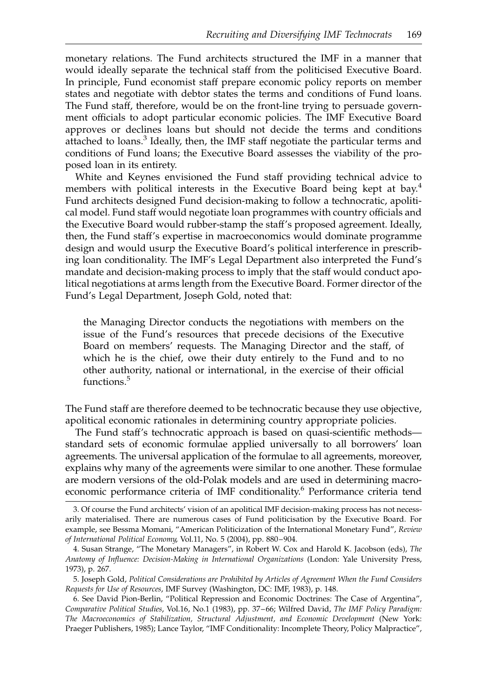monetary relations. The Fund architects structured the IMF in a manner that would ideally separate the technical staff from the politicised Executive Board. In principle, Fund economist staff prepare economic policy reports on member states and negotiate with debtor states the terms and conditions of Fund loans. The Fund staff, therefore, would be on the front-line trying to persuade government officials to adopt particular economic policies. The IMF Executive Board approves or declines loans but should not decide the terms and conditions attached to loans.<sup>3</sup> Ideally, then, the IMF staff negotiate the particular terms and conditions of Fund loans; the Executive Board assesses the viability of the proposed loan in its entirety.

White and Keynes envisioned the Fund staff providing technical advice to members with political interests in the Executive Board being kept at bay.<sup>4</sup> Fund architects designed Fund decision-making to follow a technocratic, apolitical model. Fund staff would negotiate loan programmes with country officials and the Executive Board would rubber-stamp the staff's proposed agreement. Ideally, then, the Fund staff's expertise in macroeconomics would dominate programme design and would usurp the Executive Board's political interference in prescribing loan conditionality. The IMF's Legal Department also interpreted the Fund's mandate and decision-making process to imply that the staff would conduct apolitical negotiations at arms length from the Executive Board. Former director of the Fund's Legal Department, Joseph Gold, noted that:

the Managing Director conducts the negotiations with members on the issue of the Fund's resources that precede decisions of the Executive Board on members' requests. The Managing Director and the staff, of which he is the chief, owe their duty entirely to the Fund and to no other authority, national or international, in the exercise of their official functions.<sup>5</sup>

The Fund staff are therefore deemed to be technocratic because they use objective, apolitical economic rationales in determining country appropriate policies.

The Fund staff's technocratic approach is based on quasi-scientific methods standard sets of economic formulae applied universally to all borrowers' loan agreements. The universal application of the formulae to all agreements, moreover, explains why many of the agreements were similar to one another. These formulae are modern versions of the old-Polak models and are used in determining macroeconomic performance criteria of IMF conditionality.<sup>6</sup> Performance criteria tend

<sup>3.</sup> Of course the Fund architects' vision of an apolitical IMF decision-making process has not necessarily materialised. There are numerous cases of Fund politicisation by the Executive Board. For example, see Bessma Momani, "American Politicization of the International Monetary Fund", Review of International Political Economy, Vol.11, No. 5 (2004), pp. 880–904.

<sup>4.</sup> Susan Strange, "The Monetary Managers", in Robert W. Cox and Harold K. Jacobson (eds), The Anatomy of Influence: Decision-Making in International Organizations (London: Yale University Press, 1973), p. 267.

<sup>5.</sup> Joseph Gold, Political Considerations are Prohibited by Articles of Agreement When the Fund Considers Requests for Use of Resources, IMF Survey (Washington, DC: IMF, 1983), p. 148.

<sup>6.</sup> See David Pion-Berlin, "Political Repression and Economic Doctrines: The Case of Argentina", Comparative Political Studies, Vol.16, No.1 (1983), pp. 37– 66; Wilfred David, The IMF Policy Paradigm: The Macroeconomics of Stabilization, Structural Adjustment, and Economic Development (New York: Praeger Publishers, 1985); Lance Taylor, "IMF Conditionality: Incomplete Theory, Policy Malpractice",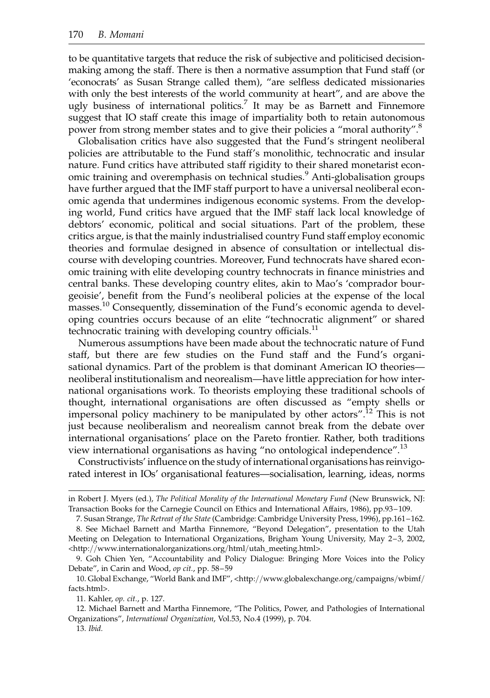to be quantitative targets that reduce the risk of subjective and politicised decisionmaking among the staff. There is then a normative assumption that Fund staff (or 'econocrats' as Susan Strange called them), "are selfless dedicated missionaries with only the best interests of the world community at heart", and are above the ugly business of international politics.<sup>7</sup> It may be as Barnett and Finnemore suggest that IO staff create this image of impartiality both to retain autonomous power from strong member states and to give their policies a "moral authority".<sup>8</sup>

Globalisation critics have also suggested that the Fund's stringent neoliberal policies are attributable to the Fund staff's monolithic, technocratic and insular nature. Fund critics have attributed staff rigidity to their shared monetarist economic training and overemphasis on technical studies.<sup>9</sup> Anti-globalisation groups have further argued that the IMF staff purport to have a universal neoliberal economic agenda that undermines indigenous economic systems. From the developing world, Fund critics have argued that the IMF staff lack local knowledge of debtors' economic, political and social situations. Part of the problem, these critics argue, is that the mainly industrialised country Fund staff employ economic theories and formulae designed in absence of consultation or intellectual discourse with developing countries. Moreover, Fund technocrats have shared economic training with elite developing country technocrats in finance ministries and central banks. These developing country elites, akin to Mao's 'comprador bourgeoisie', benefit from the Fund's neoliberal policies at the expense of the local masses.<sup>10</sup> Consequently, dissemination of the Fund's economic agenda to developing countries occurs because of an elite "technocratic alignment" or shared technocratic training with developing country officials.<sup>11</sup>

Numerous assumptions have been made about the technocratic nature of Fund staff, but there are few studies on the Fund staff and the Fund's organisational dynamics. Part of the problem is that dominant American IO theories neoliberal institutionalism and neorealism—have little appreciation for how international organisations work. To theorists employing these traditional schools of thought, international organisations are often discussed as "empty shells or impersonal policy machinery to be manipulated by other actors".<sup>12</sup> This is not just because neoliberalism and neorealism cannot break from the debate over international organisations' place on the Pareto frontier. Rather, both traditions view international organisations as having "no ontological independence".<sup>13</sup>

Constructivists' influence on the study of international organisations has reinvigorated interest in IOs' organisational features—socialisation, learning, ideas, norms

in Robert J. Myers (ed.), The Political Morality of the International Monetary Fund (New Brunswick, NJ: Transaction Books for the Carnegie Council on Ethics and International Affairs, 1986), pp.93–109.

<sup>7.</sup> Susan Strange, The Retreat of the State (Cambridge: Cambridge University Press, 1996), pp.161–162. 8. See Michael Barnett and Martha Finnemore, "Beyond Delegation", presentation to the Utah

Meeting on Delegation to International Organizations, Brigham Young University, May 2–3, 2002, <http://www.internationalorganizations.org/html/utah\_meeting.html>.

<sup>9.</sup> Goh Chien Yen, "Accountability and Policy Dialogue: Bringing More Voices into the Policy Debate", in Carin and Wood, op cit., pp. 58–59

<sup>10.</sup> Global Exchange, "World Bank and IMF", <http://www.globalexchange.org/campaigns/wbimf/ facts.html>.

<sup>11.</sup> Kahler, op. cit., p. 127.

<sup>12.</sup> Michael Barnett and Martha Finnemore, "The Politics, Power, and Pathologies of International Organizations", International Organization, Vol.53, No.4 (1999), p. 704.

<sup>13.</sup> Ibid.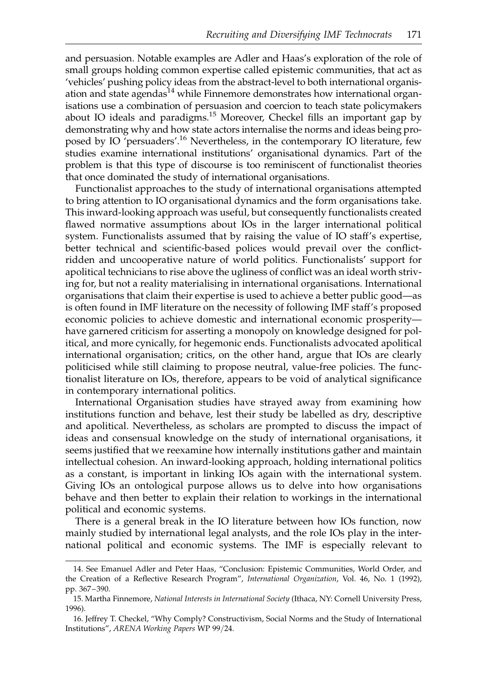and persuasion. Notable examples are Adler and Haas's exploration of the role of small groups holding common expertise called epistemic communities, that act as 'vehicles' pushing policy ideas from the abstract-level to both international organisation and state agendas<sup>14</sup> while Finnemore demonstrates how international organisations use a combination of persuasion and coercion to teach state policymakers about IO ideals and paradigms.<sup>15</sup> Moreover, Checkel fills an important gap by demonstrating why and how state actors internalise the norms and ideas being proposed by IO 'persuaders'.<sup>16</sup> Nevertheless, in the contemporary IO literature, few studies examine international institutions' organisational dynamics. Part of the problem is that this type of discourse is too reminiscent of functionalist theories that once dominated the study of international organisations.

Functionalist approaches to the study of international organisations attempted to bring attention to IO organisational dynamics and the form organisations take. This inward-looking approach was useful, but consequently functionalists created flawed normative assumptions about IOs in the larger international political system. Functionalists assumed that by raising the value of IO staff's expertise, better technical and scientific-based polices would prevail over the conflictridden and uncooperative nature of world politics. Functionalists' support for apolitical technicians to rise above the ugliness of conflict was an ideal worth striving for, but not a reality materialising in international organisations. International organisations that claim their expertise is used to achieve a better public good—as is often found in IMF literature on the necessity of following IMF staff's proposed economic policies to achieve domestic and international economic prosperity have garnered criticism for asserting a monopoly on knowledge designed for political, and more cynically, for hegemonic ends. Functionalists advocated apolitical international organisation; critics, on the other hand, argue that IOs are clearly politicised while still claiming to propose neutral, value-free policies. The functionalist literature on IOs, therefore, appears to be void of analytical significance in contemporary international politics.

International Organisation studies have strayed away from examining how institutions function and behave, lest their study be labelled as dry, descriptive and apolitical. Nevertheless, as scholars are prompted to discuss the impact of ideas and consensual knowledge on the study of international organisations, it seems justified that we reexamine how internally institutions gather and maintain intellectual cohesion. An inward-looking approach, holding international politics as a constant, is important in linking IOs again with the international system. Giving IOs an ontological purpose allows us to delve into how organisations behave and then better to explain their relation to workings in the international political and economic systems.

There is a general break in the IO literature between how IOs function, now mainly studied by international legal analysts, and the role IOs play in the international political and economic systems. The IMF is especially relevant to

<sup>14.</sup> See Emanuel Adler and Peter Haas, "Conclusion: Epistemic Communities, World Order, and the Creation of a Reflective Research Program", International Organization, Vol. 46, No. 1 (1992), pp. 367 –390.

<sup>15.</sup> Martha Finnemore, National Interests in International Society (Ithaca, NY: Cornell University Press, 1996).

<sup>16.</sup> Jeffrey T. Checkel, "Why Comply? Constructivism, Social Norms and the Study of International Institutions", ARENA Working Papers WP 99/24.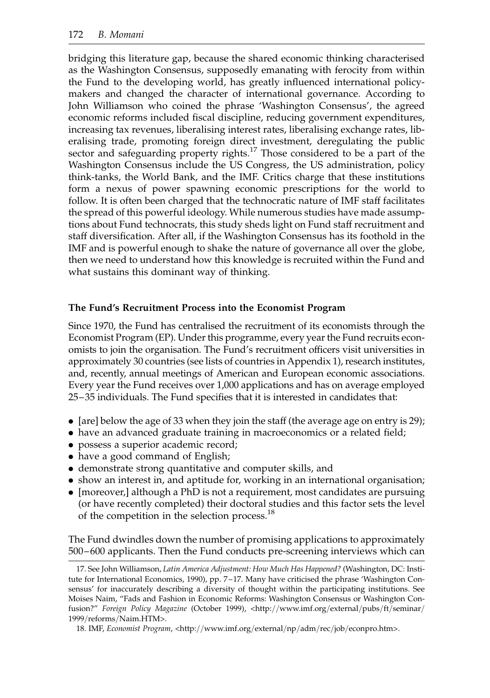bridging this literature gap, because the shared economic thinking characterised as the Washington Consensus, supposedly emanating with ferocity from within the Fund to the developing world, has greatly influenced international policymakers and changed the character of international governance. According to John Williamson who coined the phrase 'Washington Consensus', the agreed economic reforms included fiscal discipline, reducing government expenditures, increasing tax revenues, liberalising interest rates, liberalising exchange rates, liberalising trade, promoting foreign direct investment, deregulating the public sector and safeguarding property rights.<sup>17</sup> Those considered to be a part of the Washington Consensus include the US Congress, the US administration, policy think-tanks, the World Bank, and the IMF. Critics charge that these institutions form a nexus of power spawning economic prescriptions for the world to follow. It is often been charged that the technocratic nature of IMF staff facilitates the spread of this powerful ideology. While numerous studies have made assumptions about Fund technocrats, this study sheds light on Fund staff recruitment and staff diversification. After all, if the Washington Consensus has its foothold in the IMF and is powerful enough to shake the nature of governance all over the globe, then we need to understand how this knowledge is recruited within the Fund and what sustains this dominant way of thinking.

## The Fund's Recruitment Process into the Economist Program

Since 1970, the Fund has centralised the recruitment of its economists through the Economist Program (EP). Under this programme, every year the Fund recruits economists to join the organisation. The Fund's recruitment officers visit universities in approximately 30 countries (see lists of countries in Appendix 1), research institutes, and, recently, annual meetings of American and European economic associations. Every year the Fund receives over 1,000 applications and has on average employed 25–35 individuals. The Fund specifies that it is interested in candidates that:

- $\bullet$  [are] below the age of 33 when they join the staff (the average age on entry is 29);
- . have an advanced graduate training in macroeconomics or a related field;
- . possess a superior academic record;
- have a good command of English;
- . demonstrate strong quantitative and computer skills, and
- . show an interest in, and aptitude for, working in an international organisation;
- . [moreover,] although a PhD is not a requirement, most candidates are pursuing (or have recently completed) their doctoral studies and this factor sets the level of the competition in the selection process.<sup>18</sup>

The Fund dwindles down the number of promising applications to approximately 500 –600 applicants. Then the Fund conducts pre-screening interviews which can

<sup>17.</sup> See John Williamson, Latin America Adjustment: How Much Has Happened? (Washington, DC: Institute for International Economics, 1990), pp. 7 –17. Many have criticised the phrase 'Washington Consensus' for inaccurately describing a diversity of thought within the participating institutions. See Moises Naim, "Fads and Fashion in Economic Reforms: Washington Consensus or Washington Confusion?" Foreign Policy Magazine (October 1999), <http://www.imf.org/external/pubs/ft/seminar/ 1999/reforms/Naim.HTM>.

<sup>18.</sup> IMF, Economist Program, <http://www.imf.org/external/np/adm/rec/job/econpro.htm>.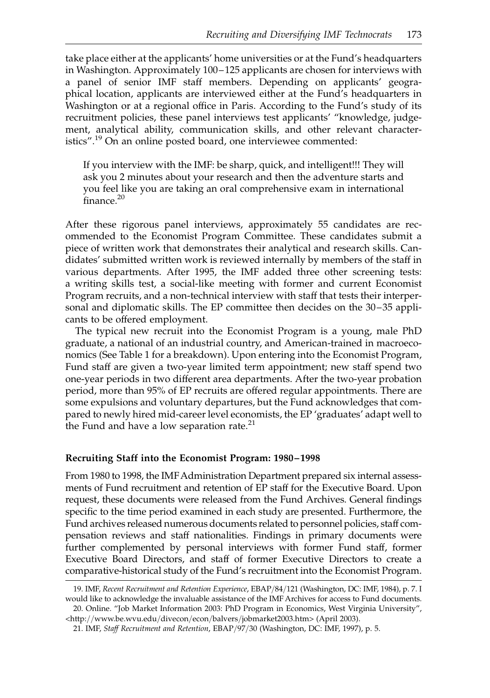take place either at the applicants' home universities or at the Fund's headquarters in Washington. Approximately 100– 125 applicants are chosen for interviews with a panel of senior IMF staff members. Depending on applicants' geographical location, applicants are interviewed either at the Fund's headquarters in Washington or at a regional office in Paris. According to the Fund's study of its recruitment policies, these panel interviews test applicants' "knowledge, judgement, analytical ability, communication skills, and other relevant characteristics".<sup>19</sup> On an online posted board, one interviewee commented:

If you interview with the IMF: be sharp, quick, and intelligent!!! They will ask you 2 minutes about your research and then the adventure starts and you feel like you are taking an oral comprehensive exam in international finance.<sup>20</sup>

After these rigorous panel interviews, approximately 55 candidates are recommended to the Economist Program Committee. These candidates submit a piece of written work that demonstrates their analytical and research skills. Candidates' submitted written work is reviewed internally by members of the staff in various departments. After 1995, the IMF added three other screening tests: a writing skills test, a social-like meeting with former and current Economist Program recruits, and a non-technical interview with staff that tests their interpersonal and diplomatic skills. The EP committee then decides on the 30–35 applicants to be offered employment.

The typical new recruit into the Economist Program is a young, male PhD graduate, a national of an industrial country, and American-trained in macroeconomics (See Table 1 for a breakdown). Upon entering into the Economist Program, Fund staff are given a two-year limited term appointment; new staff spend two one-year periods in two different area departments. After the two-year probation period, more than 95% of EP recruits are offered regular appointments. There are some expulsions and voluntary departures, but the Fund acknowledges that compared to newly hired mid-career level economists, the EP 'graduates' adapt well to the Fund and have a low separation rate.<sup>21</sup>

### Recruiting Staff into the Economist Program: 1980– 1998

From 1980 to 1998, the IMF Administration Department prepared six internal assessments of Fund recruitment and retention of EP staff for the Executive Board. Upon request, these documents were released from the Fund Archives. General findings specific to the time period examined in each study are presented. Furthermore, the Fund archives released numerous documents related to personnel policies, staff compensation reviews and staff nationalities. Findings in primary documents were further complemented by personal interviews with former Fund staff, former Executive Board Directors, and staff of former Executive Directors to create a comparative-historical study of the Fund's recruitment into the Economist Program.

<sup>19.</sup> IMF, Recent Recruitment and Retention Experience, EBAP/84/121 (Washington, DC: IMF, 1984), p. 7. I would like to acknowledge the invaluable assistance of the IMF Archives for access to Fund documents.

<sup>20.</sup> Online. "Job Market Information 2003: PhD Program in Economics, West Virginia University", <http://www.be.wvu.edu/divecon/econ/balvers/jobmarket2003.htm> (April 2003).

<sup>21.</sup> IMF, Staff Recruitment and Retention, EBAP/97/30 (Washington, DC: IMF, 1997), p. 5.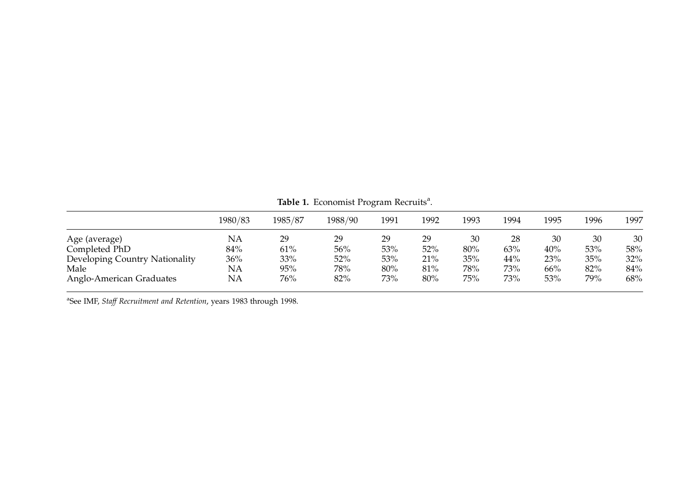|                                | 1980/83   | 1985/87 | 1988/90 | 1991 | 1992 | 1993 | 1994 | 1995 | 1996 | 1997 |
|--------------------------------|-----------|---------|---------|------|------|------|------|------|------|------|
| Age (average)                  | <b>NA</b> | 29      | 29      | 29   | 29   | 30   | 28   | 30   | 30   | 30   |
| Completed PhD                  | 84%       | 61%     | 56%     | 53%  | 52%  | 80%  | 63%  | 40%  | 53%  | 58%  |
| Developing Country Nationality | 36%       | 33%     | 52%     | 53%  | 21%  | 35%  | 44%  | 23%  | 35%  | 32%  |
| Male                           | NA        | 95%     | 78%     | 80%  | 81%  | 78%  | 73%  | 66%  | 82%  | 84%  |
| Anglo-American Graduates       | <b>NA</b> | 76%     | 82%     | 73%  | 80%  | 75%  | 73%  | 53%  | 79%  | 68%  |

Table 1. Economist Program Recruits<sup>a</sup>.

<sup>a</sup>See IMF, Staff Recruitment and Retention, years 1983 through 1998.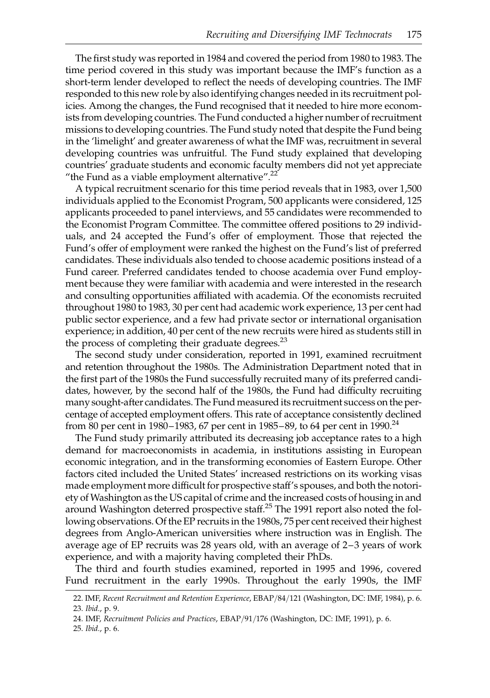The first study was reported in 1984 and covered the period from 1980 to 1983. The time period covered in this study was important because the IMF's function as a short-term lender developed to reflect the needs of developing countries. The IMF responded to this new role by also identifying changes needed in its recruitment policies. Among the changes, the Fund recognised that it needed to hire more economists from developing countries. The Fund conducted a higher number of recruitment missions to developing countries. The Fund study noted that despite the Fund being in the 'limelight' and greater awareness of what the IMF was, recruitment in several developing countries was unfruitful. The Fund study explained that developing countries' graduate students and economic faculty members did not yet appreciate "the Fund as a viable employment alternative". $^{22}$ 

A typical recruitment scenario for this time period reveals that in 1983, over 1,500 individuals applied to the Economist Program, 500 applicants were considered, 125 applicants proceeded to panel interviews, and 55 candidates were recommended to the Economist Program Committee. The committee offered positions to 29 individuals, and 24 accepted the Fund's offer of employment. Those that rejected the Fund's offer of employment were ranked the highest on the Fund's list of preferred candidates. These individuals also tended to choose academic positions instead of a Fund career. Preferred candidates tended to choose academia over Fund employment because they were familiar with academia and were interested in the research and consulting opportunities affiliated with academia. Of the economists recruited throughout 1980 to 1983, 30 per cent had academic work experience, 13 per cent had public sector experience, and a few had private sector or international organisation experience; in addition, 40 per cent of the new recruits were hired as students still in the process of completing their graduate degrees. $^{23}$ 

The second study under consideration, reported in 1991, examined recruitment and retention throughout the 1980s. The Administration Department noted that in the first part of the 1980s the Fund successfully recruited many of its preferred candidates, however, by the second half of the 1980s, the Fund had difficulty recruiting many sought-after candidates. The Fund measured its recruitment success on the percentage of accepted employment offers. This rate of acceptance consistently declined from 80 per cent in 1980–1983, 67 per cent in 1985–89, to 64 per cent in 1990.<sup>24</sup>

The Fund study primarily attributed its decreasing job acceptance rates to a high demand for macroeconomists in academia, in institutions assisting in European economic integration, and in the transforming economies of Eastern Europe. Other factors cited included the United States' increased restrictions on its working visas made employment more difficult for prospective staff's spouses, and both the notoriety of Washington as the US capital of crime and the increased costs of housing in and around Washington deterred prospective staff.<sup>25</sup> The 1991 report also noted the following observations. Of the EP recruits in the 1980s, 75 per cent received their highest degrees from Anglo-American universities where instruction was in English. The average age of EP recruits was 28 years old, with an average of 2–3 years of work experience, and with a majority having completed their PhDs.

The third and fourth studies examined, reported in 1995 and 1996, covered Fund recruitment in the early 1990s. Throughout the early 1990s, the IMF

<sup>22.</sup> IMF, Recent Recruitment and Retention Experience, EBAP/84/121 (Washington, DC: IMF, 1984), p. 6.

<sup>23.</sup> Ibid., p. 9.

<sup>24.</sup> IMF, Recruitment Policies and Practices, EBAP/91/176 (Washington, DC: IMF, 1991), p. 6.

<sup>25.</sup> Ibid., p. 6.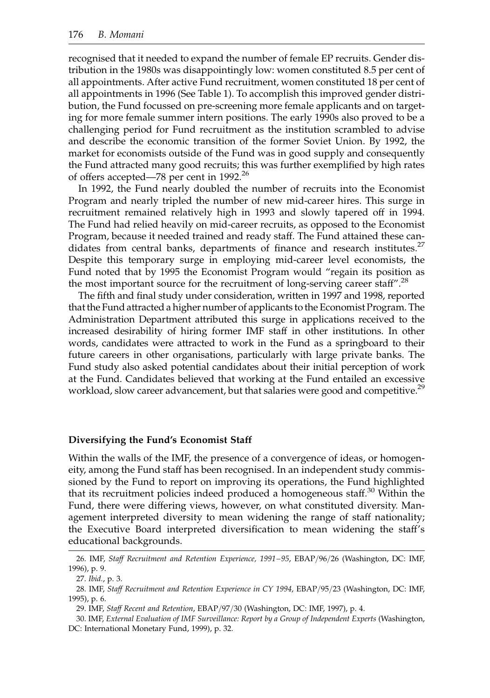recognised that it needed to expand the number of female EP recruits. Gender distribution in the 1980s was disappointingly low: women constituted 8.5 per cent of all appointments. After active Fund recruitment, women constituted 18 per cent of all appointments in 1996 (See Table 1). To accomplish this improved gender distribution, the Fund focussed on pre-screening more female applicants and on targeting for more female summer intern positions. The early 1990s also proved to be a challenging period for Fund recruitment as the institution scrambled to advise and describe the economic transition of the former Soviet Union. By 1992, the market for economists outside of the Fund was in good supply and consequently the Fund attracted many good recruits; this was further exemplified by high rates of offers accepted—78 per cent in 1992.<sup>26</sup>

In 1992, the Fund nearly doubled the number of recruits into the Economist Program and nearly tripled the number of new mid-career hires. This surge in recruitment remained relatively high in 1993 and slowly tapered off in 1994. The Fund had relied heavily on mid-career recruits, as opposed to the Economist Program, because it needed trained and ready staff. The Fund attained these candidates from central banks, departments of finance and research institutes. $27$ Despite this temporary surge in employing mid-career level economists, the Fund noted that by 1995 the Economist Program would "regain its position as the most important source for the recruitment of long-serving career staff".<sup>28</sup>

The fifth and final study under consideration, written in 1997 and 1998, reported that the Fund attracted a higher number of applicants to the Economist Program. The Administration Department attributed this surge in applications received to the increased desirability of hiring former IMF staff in other institutions. In other words, candidates were attracted to work in the Fund as a springboard to their future careers in other organisations, particularly with large private banks. The Fund study also asked potential candidates about their initial perception of work at the Fund. Candidates believed that working at the Fund entailed an excessive workload, slow career advancement, but that salaries were good and competitive.<sup>29</sup>

### Diversifying the Fund's Economist Staff

Within the walls of the IMF, the presence of a convergence of ideas, or homogeneity, among the Fund staff has been recognised. In an independent study commissioned by the Fund to report on improving its operations, the Fund highlighted that its recruitment policies indeed produced a homogeneous staff.<sup>30</sup> Within the Fund, there were differing views, however, on what constituted diversity. Management interpreted diversity to mean widening the range of staff nationality; the Executive Board interpreted diversification to mean widening the staff's educational backgrounds.

<sup>26.</sup> IMF, Staff Recruitment and Retention Experience, 1991–95, EBAP/96/26 (Washington, DC: IMF, 1996), p. 9.

<sup>27.</sup> Ibid., p. 3.

<sup>28.</sup> IMF, Staff Recruitment and Retention Experience in CY 1994, EBAP/95/23 (Washington, DC: IMF, 1995), p. 6.

<sup>29.</sup> IMF, Staff Recent and Retention, EBAP/97/30 (Washington, DC: IMF, 1997), p. 4.

<sup>30.</sup> IMF, External Evaluation of IMF Surveillance: Report by a Group of Independent Experts (Washington, DC: International Monetary Fund, 1999), p. 32.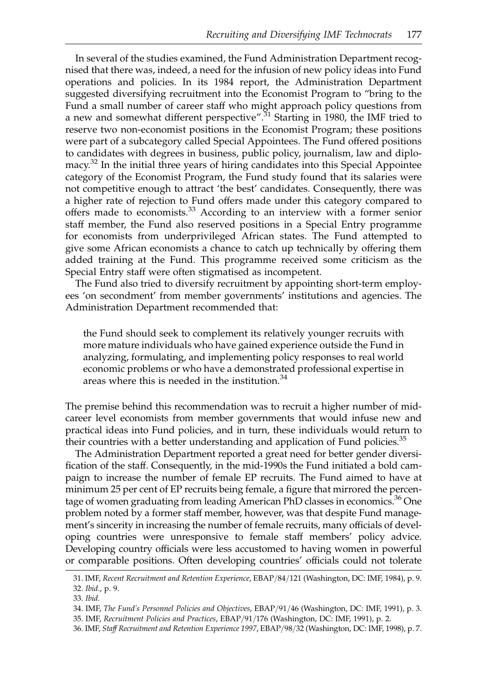In several of the studies examined, the Fund Administration Department recognised that there was, indeed, a need for the infusion of new policy ideas into Fund operations and policies. In its 1984 report, the Administration Department suggested diversifying recruitment into the Economist Program to "bring to the Fund a small number of career staff who might approach policy questions from a new and somewhat different perspective".<sup>31</sup> Starting in 1980, the IMF tried to reserve two non-economist positions in the Economist Program; these positions were part of a subcategory called Special Appointees. The Fund offered positions to candidates with degrees in business, public policy, journalism, law and diplomacy. $32$  In the initial three years of hiring candidates into this Special Appointee category of the Economist Program, the Fund study found that its salaries were not competitive enough to attract 'the best' candidates. Consequently, there was a higher rate of rejection to Fund offers made under this category compared to offers made to economists.<sup>33</sup> According to an interview with a former senior staff member, the Fund also reserved positions in a Special Entry programme for economists from underprivileged African states. The Fund attempted to give some African economists a chance to catch up technically by offering them added training at the Fund. This programme received some criticism as the Special Entry staff were often stigmatised as incompetent.

The Fund also tried to diversify recruitment by appointing short-term employees 'on secondment' from member governments' institutions and agencies. The Administration Department recommended that:

the Fund should seek to complement its relatively younger recruits with more mature individuals who have gained experience outside the Fund in analyzing, formulating, and implementing policy responses to real world economic problems or who have a demonstrated professional expertise in areas where this is needed in the institution.<sup>34</sup>

The premise behind this recommendation was to recruit a higher number of midcareer level economists from member governments that would infuse new and practical ideas into Fund policies, and in turn, these individuals would return to their countries with a better understanding and application of Fund policies.<sup>35</sup>

The Administration Department reported a great need for better gender diversification of the staff. Consequently, in the mid-1990s the Fund initiated a bold campaign to increase the number of female EP recruits. The Fund aimed to have at minimum 25 per cent of EP recruits being female, a figure that mirrored the percentage of women graduating from leading American PhD classes in economics.<sup>36</sup> One problem noted by a former staff member, however, was that despite Fund management's sincerity in increasing the number of female recruits, many officials of developing countries were unresponsive to female staff members' policy advice. Developing country officials were less accustomed to having women in powerful or comparable positions. Often developing countries' officials could not tolerate

<sup>31.</sup> IMF, Recent Recruitment and Retention Experience, EBAP/84/121 (Washington, DC: IMF, 1984), p. 9. 32. Ibid., p. 9.

<sup>33.</sup> Ibid.

<sup>34.</sup> IMF, The Fund's Personnel Policies and Objectives, EBAP/91/46 (Washington, DC: IMF, 1991), p. 3.

<sup>35.</sup> IMF, Recruitment Policies and Practices, EBAP/91/176 (Washington, DC: IMF, 1991), p. 2.

<sup>36.</sup> IMF, Staff Recruitment and Retention Experience 1997, EBAP/98/32 (Washington, DC: IMF, 1998), p. 7.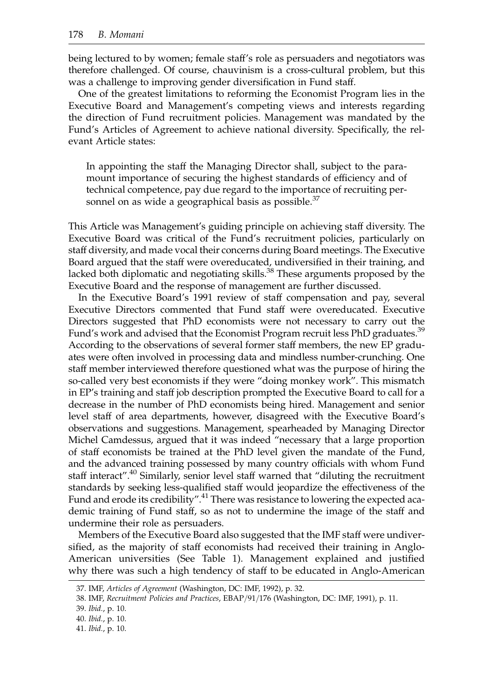being lectured to by women; female staff's role as persuaders and negotiators was therefore challenged. Of course, chauvinism is a cross-cultural problem, but this was a challenge to improving gender diversification in Fund staff.

One of the greatest limitations to reforming the Economist Program lies in the Executive Board and Management's competing views and interests regarding the direction of Fund recruitment policies. Management was mandated by the Fund's Articles of Agreement to achieve national diversity. Specifically, the relevant Article states:

In appointing the staff the Managing Director shall, subject to the paramount importance of securing the highest standards of efficiency and of technical competence, pay due regard to the importance of recruiting personnel on as wide a geographical basis as possible.<sup>37</sup>

This Article was Management's guiding principle on achieving staff diversity. The Executive Board was critical of the Fund's recruitment policies, particularly on staff diversity, and made vocal their concerns during Board meetings. The Executive Board argued that the staff were overeducated, undiversified in their training, and lacked both diplomatic and negotiating skills.<sup>38</sup> These arguments proposed by the Executive Board and the response of management are further discussed.

In the Executive Board's 1991 review of staff compensation and pay, several Executive Directors commented that Fund staff were overeducated. Executive Directors suggested that PhD economists were not necessary to carry out the Fund's work and advised that the Economist Program recruit less PhD graduates.<sup>39</sup> According to the observations of several former staff members, the new EP graduates were often involved in processing data and mindless number-crunching. One staff member interviewed therefore questioned what was the purpose of hiring the so-called very best economists if they were "doing monkey work". This mismatch in EP's training and staff job description prompted the Executive Board to call for a decrease in the number of PhD economists being hired. Management and senior level staff of area departments, however, disagreed with the Executive Board's observations and suggestions. Management, spearheaded by Managing Director Michel Camdessus, argued that it was indeed "necessary that a large proportion of staff economists be trained at the PhD level given the mandate of the Fund, and the advanced training possessed by many country officials with whom Fund staff interact".<sup>40</sup> Similarly, senior level staff warned that "diluting the recruitment standards by seeking less-qualified staff would jeopardize the effectiveness of the Fund and erode its credibility".<sup>41</sup> There was resistance to lowering the expected academic training of Fund staff, so as not to undermine the image of the staff and undermine their role as persuaders.

Members of the Executive Board also suggested that the IMF staff were undiversified, as the majority of staff economists had received their training in Anglo-American universities (See Table 1). Management explained and justified why there was such a high tendency of staff to be educated in Anglo-American

<sup>37.</sup> IMF, Articles of Agreement (Washington, DC: IMF, 1992), p. 32.

<sup>38.</sup> IMF, Recruitment Policies and Practices, EBAP/91/176 (Washington, DC: IMF, 1991), p. 11.

<sup>39.</sup> Ibid., p. 10.

<sup>40.</sup> Ibid., p. 10.

<sup>41.</sup> Ibid., p. 10.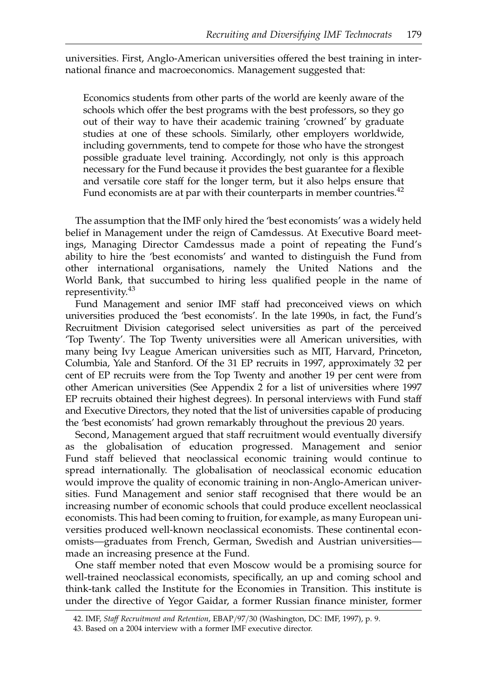universities. First, Anglo-American universities offered the best training in international finance and macroeconomics. Management suggested that:

Economics students from other parts of the world are keenly aware of the schools which offer the best programs with the best professors, so they go out of their way to have their academic training 'crowned' by graduate studies at one of these schools. Similarly, other employers worldwide, including governments, tend to compete for those who have the strongest possible graduate level training. Accordingly, not only is this approach necessary for the Fund because it provides the best guarantee for a flexible and versatile core staff for the longer term, but it also helps ensure that Fund economists are at par with their counterparts in member countries.<sup>42</sup>

The assumption that the IMF only hired the 'best economists' was a widely held belief in Management under the reign of Camdessus. At Executive Board meetings, Managing Director Camdessus made a point of repeating the Fund's ability to hire the 'best economists' and wanted to distinguish the Fund from other international organisations, namely the United Nations and the World Bank, that succumbed to hiring less qualified people in the name of representivity.<sup>43</sup>

Fund Management and senior IMF staff had preconceived views on which universities produced the 'best economists'. In the late 1990s, in fact, the Fund's Recruitment Division categorised select universities as part of the perceived 'Top Twenty'. The Top Twenty universities were all American universities, with many being Ivy League American universities such as MIT, Harvard, Princeton, Columbia, Yale and Stanford. Of the 31 EP recruits in 1997, approximately 32 per cent of EP recruits were from the Top Twenty and another 19 per cent were from other American universities (See Appendix 2 for a list of universities where 1997 EP recruits obtained their highest degrees). In personal interviews with Fund staff and Executive Directors, they noted that the list of universities capable of producing the 'best economists' had grown remarkably throughout the previous 20 years.

Second, Management argued that staff recruitment would eventually diversify as the globalisation of education progressed. Management and senior Fund staff believed that neoclassical economic training would continue to spread internationally. The globalisation of neoclassical economic education would improve the quality of economic training in non-Anglo-American universities. Fund Management and senior staff recognised that there would be an increasing number of economic schools that could produce excellent neoclassical economists. This had been coming to fruition, for example, as many European universities produced well-known neoclassical economists. These continental economists—graduates from French, German, Swedish and Austrian universities made an increasing presence at the Fund.

One staff member noted that even Moscow would be a promising source for well-trained neoclassical economists, specifically, an up and coming school and think-tank called the Institute for the Economies in Transition. This institute is under the directive of Yegor Gaidar, a former Russian finance minister, former

<sup>42.</sup> IMF, Staff Recruitment and Retention, EBAP/97/30 (Washington, DC: IMF, 1997), p. 9.

<sup>43.</sup> Based on a 2004 interview with a former IMF executive director.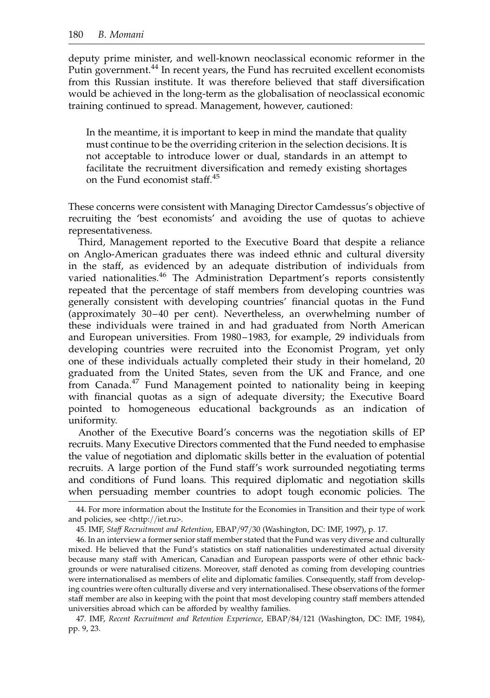deputy prime minister, and well-known neoclassical economic reformer in the Putin government.<sup>44</sup> In recent years, the Fund has recruited excellent economists from this Russian institute. It was therefore believed that staff diversification would be achieved in the long-term as the globalisation of neoclassical economic training continued to spread. Management, however, cautioned:

In the meantime, it is important to keep in mind the mandate that quality must continue to be the overriding criterion in the selection decisions. It is not acceptable to introduce lower or dual, standards in an attempt to facilitate the recruitment diversification and remedy existing shortages on the Fund economist staff.<sup>45</sup>

These concerns were consistent with Managing Director Camdessus's objective of recruiting the 'best economists' and avoiding the use of quotas to achieve representativeness.

Third, Management reported to the Executive Board that despite a reliance on Anglo-American graduates there was indeed ethnic and cultural diversity in the staff, as evidenced by an adequate distribution of individuals from varied nationalities.<sup>46</sup> The Administration Department's reports consistently repeated that the percentage of staff members from developing countries was generally consistent with developing countries' financial quotas in the Fund (approximately 30-40 per cent). Nevertheless, an overwhelming number of these individuals were trained in and had graduated from North American and European universities. From 1980– 1983, for example, 29 individuals from developing countries were recruited into the Economist Program, yet only one of these individuals actually completed their study in their homeland, 20 graduated from the United States, seven from the UK and France, and one from Canada.<sup>47</sup> Fund Management pointed to nationality being in keeping with financial quotas as a sign of adequate diversity; the Executive Board pointed to homogeneous educational backgrounds as an indication of uniformity.

Another of the Executive Board's concerns was the negotiation skills of EP recruits. Many Executive Directors commented that the Fund needed to emphasise the value of negotiation and diplomatic skills better in the evaluation of potential recruits. A large portion of the Fund staff's work surrounded negotiating terms and conditions of Fund loans. This required diplomatic and negotiation skills when persuading member countries to adopt tough economic policies. The

<sup>44.</sup> For more information about the Institute for the Economies in Transition and their type of work and policies, see <http://iet.ru>.

<sup>45.</sup> IMF, Staff Recruitment and Retention, EBAP/97/30 (Washington, DC: IMF, 1997), p. 17.

<sup>46.</sup> In an interview a former senior staff member stated that the Fund was very diverse and culturally mixed. He believed that the Fund's statistics on staff nationalities underestimated actual diversity because many staff with American, Canadian and European passports were of other ethnic backgrounds or were naturalised citizens. Moreover, staff denoted as coming from developing countries were internationalised as members of elite and diplomatic families. Consequently, staff from developing countries were often culturally diverse and very internationalised. These observations of the former staff member are also in keeping with the point that most developing country staff members attended universities abroad which can be afforded by wealthy families.

<sup>47.</sup> IMF, Recent Recruitment and Retention Experience, EBAP/84/121 (Washington, DC: IMF, 1984), pp. 9, 23.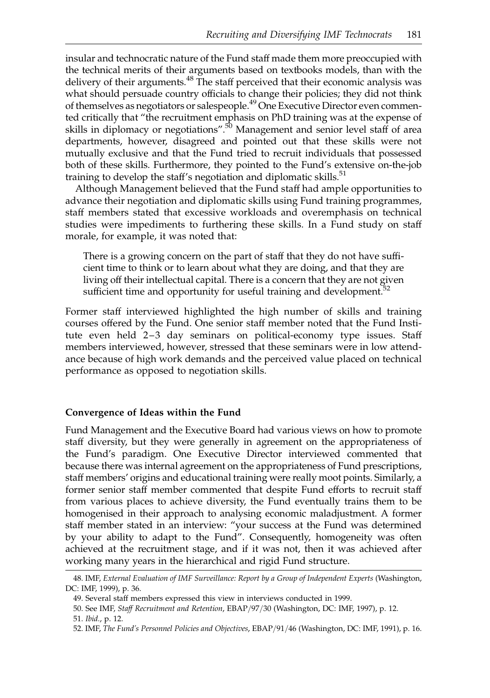insular and technocratic nature of the Fund staff made them more preoccupied with the technical merits of their arguments based on textbooks models, than with the delivery of their arguments.<sup>48</sup> The staff perceived that their economic analysis was what should persuade country officials to change their policies; they did not think of themselves as negotiators or salespeople.<sup>49</sup> One Executive Director even commented critically that "the recruitment emphasis on PhD training was at the expense of skills in diplomacy or negotiations".<sup>50</sup> Management and senior level staff of area departments, however, disagreed and pointed out that these skills were not mutually exclusive and that the Fund tried to recruit individuals that possessed both of these skills. Furthermore, they pointed to the Fund's extensive on-the-job training to develop the staff's negotiation and diplomatic skills. $51$ 

Although Management believed that the Fund staff had ample opportunities to advance their negotiation and diplomatic skills using Fund training programmes, staff members stated that excessive workloads and overemphasis on technical studies were impediments to furthering these skills. In a Fund study on staff morale, for example, it was noted that:

There is a growing concern on the part of staff that they do not have sufficient time to think or to learn about what they are doing, and that they are living off their intellectual capital. There is a concern that they are not given sufficient time and opportunity for useful training and development.<sup>52</sup>

Former staff interviewed highlighted the high number of skills and training courses offered by the Fund. One senior staff member noted that the Fund Institute even held 2–3 day seminars on political-economy type issues. Staff members interviewed, however, stressed that these seminars were in low attendance because of high work demands and the perceived value placed on technical performance as opposed to negotiation skills.

### Convergence of Ideas within the Fund

Fund Management and the Executive Board had various views on how to promote staff diversity, but they were generally in agreement on the appropriateness of the Fund's paradigm. One Executive Director interviewed commented that because there was internal agreement on the appropriateness of Fund prescriptions, staff members' origins and educational training were really moot points. Similarly, a former senior staff member commented that despite Fund efforts to recruit staff from various places to achieve diversity, the Fund eventually trains them to be homogenised in their approach to analysing economic maladjustment. A former staff member stated in an interview: "your success at the Fund was determined by your ability to adapt to the Fund". Consequently, homogeneity was often achieved at the recruitment stage, and if it was not, then it was achieved after working many years in the hierarchical and rigid Fund structure.

<sup>48.</sup> IMF, External Evaluation of IMF Surveillance: Report by a Group of Independent Experts (Washington, DC: IMF, 1999), p. 36.

<sup>49.</sup> Several staff members expressed this view in interviews conducted in 1999.

<sup>50.</sup> See IMF, Staff Recruitment and Retention, EBAP/97/30 (Washington, DC: IMF, 1997), p. 12.

<sup>51.</sup> Ibid., p. 12.

<sup>52.</sup> IMF, The Fund's Personnel Policies and Objectives, EBAP/91/46 (Washington, DC: IMF, 1991), p. 16.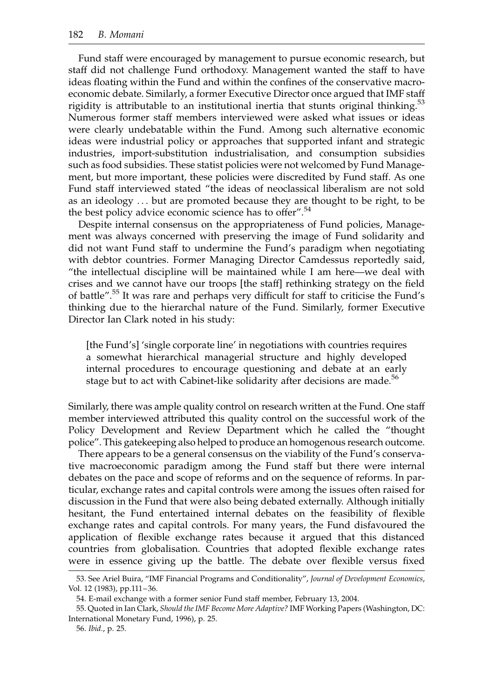Fund staff were encouraged by management to pursue economic research, but staff did not challenge Fund orthodoxy. Management wanted the staff to have ideas floating within the Fund and within the confines of the conservative macroeconomic debate. Similarly, a former Executive Director once argued that IMF staff rigidity is attributable to an institutional inertia that stunts original thinking.<sup>53</sup> Numerous former staff members interviewed were asked what issues or ideas were clearly undebatable within the Fund. Among such alternative economic ideas were industrial policy or approaches that supported infant and strategic industries, import-substitution industrialisation, and consumption subsidies such as food subsidies. These statist policies were not welcomed by Fund Management, but more important, these policies were discredited by Fund staff. As one Fund staff interviewed stated "the ideas of neoclassical liberalism are not sold as an ideology ... but are promoted because they are thought to be right, to be the best policy advice economic science has to offer".<sup>54</sup>

Despite internal consensus on the appropriateness of Fund policies, Management was always concerned with preserving the image of Fund solidarity and did not want Fund staff to undermine the Fund's paradigm when negotiating with debtor countries. Former Managing Director Camdessus reportedly said, "the intellectual discipline will be maintained while I am here—we deal with crises and we cannot have our troops [the staff] rethinking strategy on the field of battle".<sup>55</sup> It was rare and perhaps very difficult for staff to criticise the Fund's thinking due to the hierarchal nature of the Fund. Similarly, former Executive Director Ian Clark noted in his study:

[the Fund's] 'single corporate line' in negotiations with countries requires a somewhat hierarchical managerial structure and highly developed internal procedures to encourage questioning and debate at an early stage but to act with Cabinet-like solidarity after decisions are made.<sup>56</sup>

Similarly, there was ample quality control on research written at the Fund. One staff member interviewed attributed this quality control on the successful work of the Policy Development and Review Department which he called the "thought police". This gatekeeping also helped to produce an homogenous research outcome.

There appears to be a general consensus on the viability of the Fund's conservative macroeconomic paradigm among the Fund staff but there were internal debates on the pace and scope of reforms and on the sequence of reforms. In particular, exchange rates and capital controls were among the issues often raised for discussion in the Fund that were also being debated externally. Although initially hesitant, the Fund entertained internal debates on the feasibility of flexible exchange rates and capital controls. For many years, the Fund disfavoured the application of flexible exchange rates because it argued that this distanced countries from globalisation. Countries that adopted flexible exchange rates were in essence giving up the battle. The debate over flexible versus fixed

<sup>53.</sup> See Ariel Buira, "IMF Financial Programs and Conditionality", Journal of Development Economics, Vol. 12 (1983), pp.111–36.

<sup>54.</sup> E-mail exchange with a former senior Fund staff member, February 13, 2004.

<sup>55.</sup> Quoted in Ian Clark, Should the IMF Become More Adaptive? IMF Working Papers (Washington, DC: International Monetary Fund, 1996), p. 25.

<sup>56.</sup> Ibid., p. 25.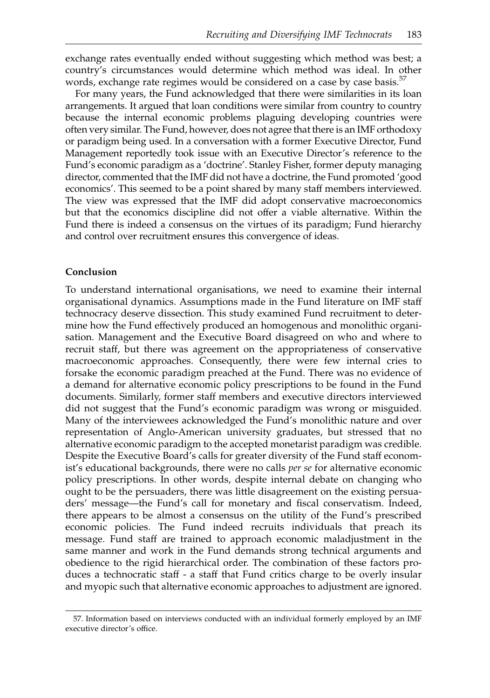exchange rates eventually ended without suggesting which method was best; a country's circumstances would determine which method was ideal. In other words, exchange rate regimes would be considered on a case by case basis.<sup>57</sup>

For many years, the Fund acknowledged that there were similarities in its loan arrangements. It argued that loan conditions were similar from country to country because the internal economic problems plaguing developing countries were often very similar. The Fund, however, does not agree that there is an IMF orthodoxy or paradigm being used. In a conversation with a former Executive Director, Fund Management reportedly took issue with an Executive Director's reference to the Fund's economic paradigm as a 'doctrine'. Stanley Fisher, former deputy managing director, commented that the IMF did not have a doctrine, the Fund promoted 'good economics'. This seemed to be a point shared by many staff members interviewed. The view was expressed that the IMF did adopt conservative macroeconomics but that the economics discipline did not offer a viable alternative. Within the Fund there is indeed a consensus on the virtues of its paradigm; Fund hierarchy and control over recruitment ensures this convergence of ideas.

#### Conclusion

To understand international organisations, we need to examine their internal organisational dynamics. Assumptions made in the Fund literature on IMF staff technocracy deserve dissection. This study examined Fund recruitment to determine how the Fund effectively produced an homogenous and monolithic organisation. Management and the Executive Board disagreed on who and where to recruit staff, but there was agreement on the appropriateness of conservative macroeconomic approaches. Consequently, there were few internal cries to forsake the economic paradigm preached at the Fund. There was no evidence of a demand for alternative economic policy prescriptions to be found in the Fund documents. Similarly, former staff members and executive directors interviewed did not suggest that the Fund's economic paradigm was wrong or misguided. Many of the interviewees acknowledged the Fund's monolithic nature and over representation of Anglo-American university graduates, but stressed that no alternative economic paradigm to the accepted monetarist paradigm was credible. Despite the Executive Board's calls for greater diversity of the Fund staff economist's educational backgrounds, there were no calls *per se* for alternative economic policy prescriptions. In other words, despite internal debate on changing who ought to be the persuaders, there was little disagreement on the existing persuaders' message—the Fund's call for monetary and fiscal conservatism. Indeed, there appears to be almost a consensus on the utility of the Fund's prescribed economic policies. The Fund indeed recruits individuals that preach its message. Fund staff are trained to approach economic maladjustment in the same manner and work in the Fund demands strong technical arguments and obedience to the rigid hierarchical order. The combination of these factors produces a technocratic staff - a staff that Fund critics charge to be overly insular and myopic such that alternative economic approaches to adjustment are ignored.

<sup>57.</sup> Information based on interviews conducted with an individual formerly employed by an IMF executive director's office.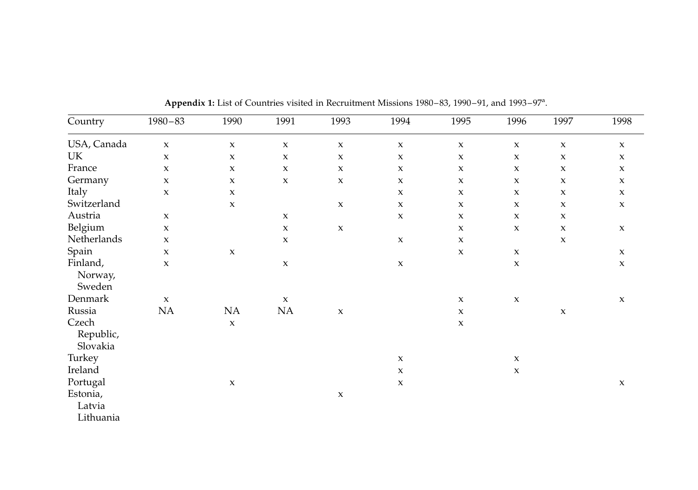| Country                         | $1980 - 83$         | 1990        | 1991                | 1993                | 1994                | 1995                | 1996                | 1997                | 1998                |
|---------------------------------|---------------------|-------------|---------------------|---------------------|---------------------|---------------------|---------------------|---------------------|---------------------|
| USA, Canada                     | $\boldsymbol{\chi}$ | $\mathbf x$ | $\boldsymbol{\chi}$ | $\mathbf x$         | $\mathbf x$         | $\mathbf x$         | $\mathbf x$         | $\mathbf x$         | $\boldsymbol{\chi}$ |
| UK                              | $\boldsymbol{\chi}$ | $\mathsf X$ | $\boldsymbol{\chi}$ | $\boldsymbol{\chi}$ | $\mathbf{x}$        | $\boldsymbol{\chi}$ | $\mathbf x$         | $\mathbf x$         | $\mathsf X$         |
| France                          | $\boldsymbol{\chi}$ | $\mathbf x$ | $\mathbf x$         | $\mathbf x$         | $\mathbf x$         | $\mathbf x$         | $\mathbf x$         | $\mathbf x$         | $\boldsymbol{\chi}$ |
| Germany                         | $\boldsymbol{\chi}$ | $\mathbf x$ | $\mathbf x$         | $\mathbf x$         | $\mathbf x$         | $\mathbf x$         | $\mathbf x$         | $\mathbf x$         | $\boldsymbol{\chi}$ |
| Italy                           | $\boldsymbol{\chi}$ | $\mathbf x$ |                     |                     | $\boldsymbol{\chi}$ | $\mathbf x$         | $\mathbf x$         | $\mathbf x$         | $\boldsymbol{\chi}$ |
| Switzerland                     |                     | $\mathbf x$ |                     | $\mathbf x$         | $\boldsymbol{\chi}$ | $\mathbf x$         | $\mathbf x$         | $\mathbf x$         | $\mathbf x$         |
| Austria                         | $\boldsymbol{\chi}$ |             | $\mathbf x$         |                     | $\mathbf x$         | $\mathbf x$         | $\boldsymbol{\chi}$ | $\mathsf X$         |                     |
| Belgium                         | $\mathbf x$         |             | $\mathbf x$         | $\mathbf x$         |                     | $\mathbf x$         | $\mathbf x$         | $\boldsymbol{\chi}$ | $\mathbf x$         |
| Netherlands                     | $\mathbf x$         |             | $\mathbf x$         |                     | $\mathbf x$         | $\mathbf x$         |                     | $\mathbf x$         |                     |
| Spain                           | $\boldsymbol{\chi}$ | $\mathbf x$ |                     |                     |                     | $\mathbf x$         | $\mathbf X$         |                     | $\boldsymbol{\chi}$ |
| Finland,<br>Norway,<br>Sweden   | $\boldsymbol{\chi}$ |             | $\mathbf x$         |                     | $\mathsf X$         |                     | $\mathbf x$         |                     | $\mathbf x$         |
| Denmark                         | $\mathbf x$         |             | $\mathbf x$         |                     |                     | $\mathbf x$         | $\mathbf x$         |                     | $\mathbf x$         |
| Russia                          | NA                  | NA          | $\rm NA$            | $\boldsymbol{\chi}$ |                     | $\mathbf x$         |                     | $\boldsymbol{\chi}$ |                     |
| Czech<br>Republic,<br>Slovakia  |                     | $\mathbf x$ |                     |                     |                     | $\boldsymbol{\chi}$ |                     |                     |                     |
| Turkey                          |                     |             |                     |                     | $\mathbf x$         |                     | $\mathbf x$         |                     |                     |
| Ireland                         |                     |             |                     |                     | $\mathbf x$         |                     | $\mathbf x$         |                     |                     |
| Portugal                        |                     | $\mathbf x$ |                     |                     | $\mathbf x$         |                     |                     |                     | $\mathbf x$         |
| Estonia,<br>Latvia<br>Lithuania |                     |             |                     | $\mathbf x$         |                     |                     |                     |                     |                     |

Appendix 1: List of Countries visited in Recruitment Missions 1980-83, 1990-91, and 1993-97<sup>a</sup>.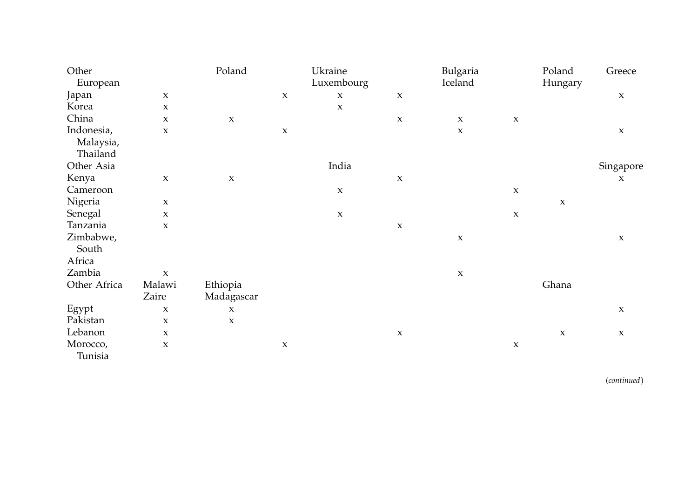| Other        |              | Poland              |             | Ukraine             |             | Bulgaria                  |                     | Poland      | Greece              |
|--------------|--------------|---------------------|-------------|---------------------|-------------|---------------------------|---------------------|-------------|---------------------|
| European     |              |                     |             | Luxembourg          |             | Iceland                   |                     | Hungary     |                     |
| Japan        | $\mathsf X$  |                     | $\mathbf x$ | $\boldsymbol{\chi}$ | $\mathbf x$ |                           |                     |             | $\mathbf x$         |
| Korea        | $\pmb{\chi}$ |                     |             | $\mathsf X$         |             |                           |                     |             |                     |
| China        | $\pmb{\chi}$ | $\boldsymbol{\chi}$ |             |                     | $\mathbf x$ | $\boldsymbol{\mathsf{X}}$ | $\mathbf X$         |             |                     |
| Indonesia,   | $\pmb{\chi}$ |                     | $\mathbf x$ |                     |             | $\boldsymbol{\chi}$       |                     |             | $\mathbf{x}$        |
| Malaysia,    |              |                     |             |                     |             |                           |                     |             |                     |
| Thailand     |              |                     |             |                     |             |                           |                     |             |                     |
| Other Asia   |              |                     |             | India               |             |                           |                     |             | Singapore           |
| Kenya        | $\mathbf x$  | $\boldsymbol{\chi}$ |             |                     | $\mathbf x$ |                           |                     |             | $\mathbf x$         |
| Cameroon     |              |                     |             | $\mathbf X$         |             |                           | $\mathbf X$         |             |                     |
| Nigeria      | $\mathsf X$  |                     |             |                     |             |                           |                     | $\mathbf x$ |                     |
| Senegal      | $\mathbf x$  |                     |             | $\boldsymbol{\chi}$ |             |                           | $\boldsymbol{\chi}$ |             |                     |
| Tanzania     | $\pmb{\chi}$ |                     |             |                     | $\mathbf X$ |                           |                     |             |                     |
| Zimbabwe,    |              |                     |             |                     |             | $\boldsymbol{\mathsf{X}}$ |                     |             | $\boldsymbol{\chi}$ |
| South        |              |                     |             |                     |             |                           |                     |             |                     |
| Africa       |              |                     |             |                     |             |                           |                     |             |                     |
| Zambia       | $\mathbf x$  |                     |             |                     |             | $\boldsymbol{\mathsf{X}}$ |                     |             |                     |
| Other Africa | Malawi       | Ethiopia            |             |                     |             |                           |                     | Ghana       |                     |
|              | Zaire        | Madagascar          |             |                     |             |                           |                     |             |                     |
| Egypt        | X            | $\mathbf x$         |             |                     |             |                           |                     |             | $\boldsymbol{\chi}$ |
| Pakistan     | $\pmb{\chi}$ | $\mathbf x$         |             |                     |             |                           |                     |             |                     |
| Lebanon      | X            |                     |             |                     | $\mathbf x$ |                           |                     | $\mathbf x$ | $\mathbf x$         |
| Morocco,     | $\pmb{\chi}$ |                     | $\mathbf x$ |                     |             |                           | $\mathbf X$         |             |                     |
| Tunisia      |              |                     |             |                     |             |                           |                     |             |                     |
|              |              |                     |             |                     |             |                           |                     |             |                     |

(continued)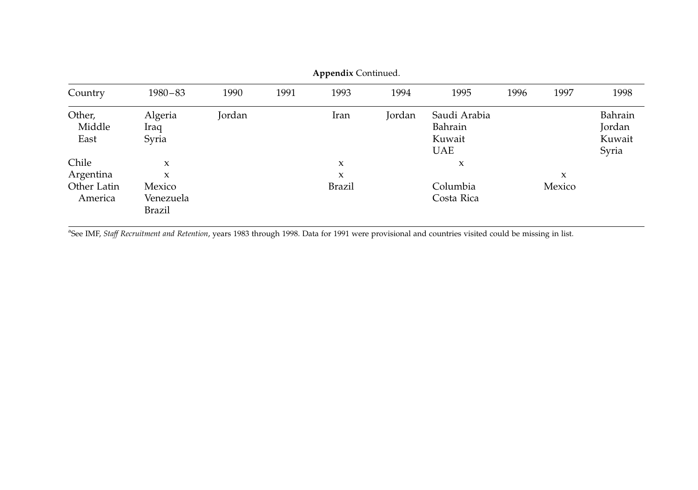| Country                  | $1980 - 83$                   | 1990   | 1991 | 1993                | 1994   | 1995                                            | 1996 | 1997   | 1998                                 |
|--------------------------|-------------------------------|--------|------|---------------------|--------|-------------------------------------------------|------|--------|--------------------------------------|
| Other,<br>Middle<br>East | Algeria<br>Iraq<br>Syria      | Jordan |      | Iran                | Jordan | Saudi Arabia<br>Bahrain<br>Kuwait<br><b>UAE</b> |      |        | Bahrain<br>Jordan<br>Kuwait<br>Syria |
| Chile                    | X                             |        |      | X                   |        | X                                               |      |        |                                      |
| Argentina                | X                             |        |      | $\boldsymbol{\chi}$ |        |                                                 |      | X      |                                      |
| Other Latin<br>America   | Mexico<br>Venezuela<br>Brazil |        |      | <b>Brazil</b>       |        | Columbia<br>Costa Rica                          |      | Mexico |                                      |

Appendix Continued.

<sup>a</sup>See IMF, Staff Recruitment and Retention, years 1983 through 1998. Data for 1991 were provisional and countries visited could be missing in list.